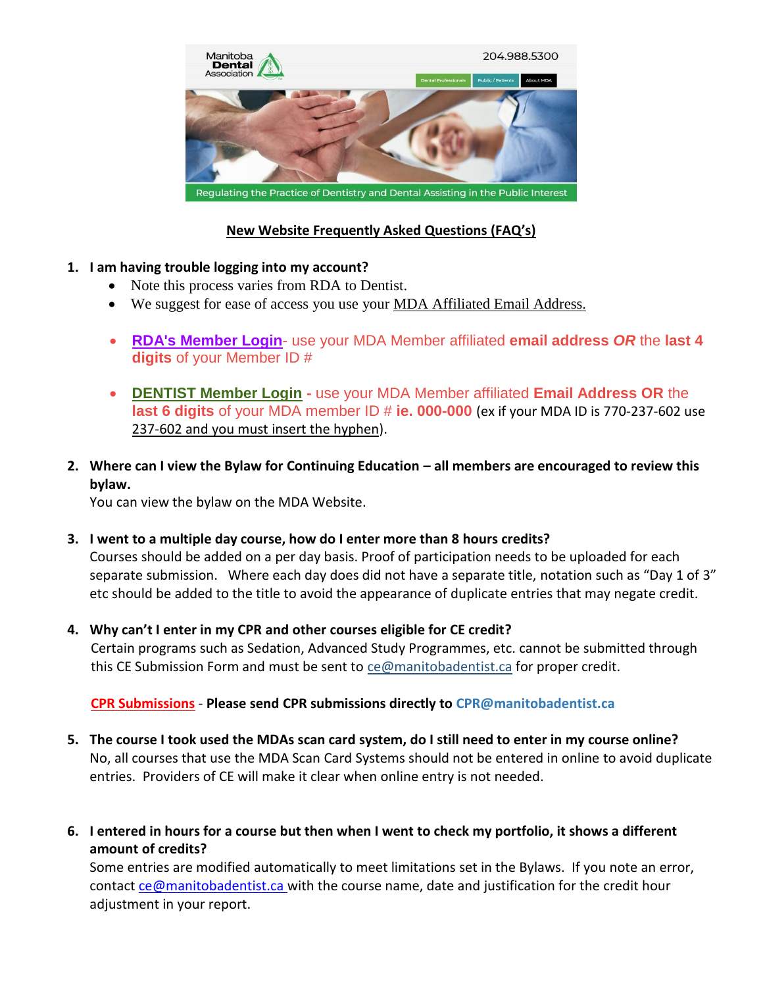

# **New Website Frequently Asked Questions (FAQ's)**

#### **1. I am having trouble logging into my account?**

- Note this process varies from RDA to Dentist.
- We suggest for ease of access you use your MDA Affiliated Email Address.
- **RDA's Member Login** use your MDA Member affiliated **email address** *OR* the **last 4 digits** of your Member ID #
- **DENTIST Member Login -** use your MDA Member affiliated **Email Address OR** the **last 6 digits** of your MDA member ID # ie. 000-000 (ex if your MDA ID is 770-237-602 use 237-602 and you must insert the hyphen).
- **2. Where can I view the Bylaw for Continuing Education – all members are encouraged to review this bylaw.**

You can view the bylaw on the MDA Website.

- **3. I went to a multiple day course, how do I enter more than 8 hours credits?**  Courses should be added on a per day basis. Proof of participation needs to be uploaded for each separate submission. Where each day does did not have a separate title, notation such as "Day 1 of 3" etc should be added to the title to avoid the appearance of duplicate entries that may negate credit.
- **4. Why can't I enter in my CPR and other courses eligible for CE credit?**  Certain programs such as Sedation, Advanced Study Programmes, etc. cannot be submitted through this CE Submission Form and must be sent to [ce@manitobadentist.ca](mailto:ce@manitobadentist.ca) for proper credit.

## **CPR Submissions** - **Please send CPR submissions directly to [CPR@manitobadentist.ca](mailto:CPR@manitobadentist.ca)**

- **5. The course I took used the MDAs scan card system, do I still need to enter in my course online?**  No, all courses that use the MDA Scan Card Systems should not be entered in online to avoid duplicate entries. Providers of CE will make it clear when online entry is not needed.
- **6. I entered in hours for a course but then when I went to check my portfolio, it shows a different amount of credits?**

Some entries are modified automatically to meet limitations set in the Bylaws. If you note an error, contact [ce@manitobadentist.ca](mailto:ce@manitobadentist.ca) with the course name, date and justification for the credit hour adjustment in your report.